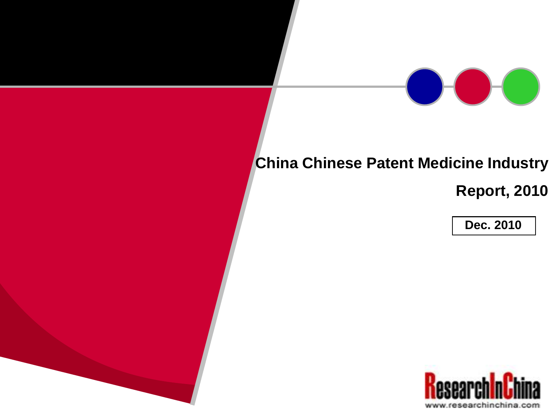# **China Chinese Patent Medicine Industry**

**Report, 2010**

**Dec. 2010**

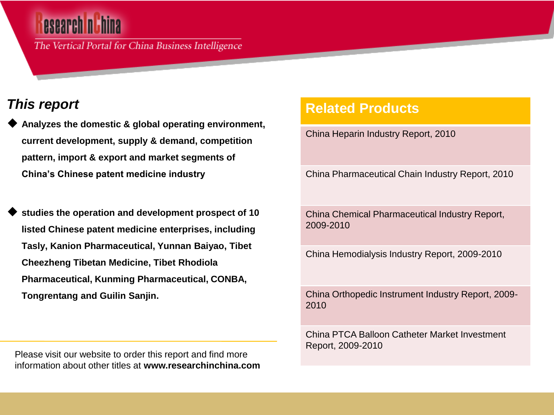The Vertical Portal for China Business Intelligence

## *This report*

- **Analyzes the domestic & global operating environment, current development, supply & demand, competition pattern, import & export and market segments of China's Chinese patent medicine industry**
- **studies the operation and development prospect of 10 listed Chinese patent medicine enterprises, including Tasly, Kanion Pharmaceutical, Yunnan Baiyao, Tibet Cheezheng Tibetan Medicine, Tibet Rhodiola Pharmaceutical, Kunming Pharmaceutical, CONBA, Tongrentang and Guilin Sanjin.**

Please visit our website to order this report and find more information about other titles at **www.researchinchina.com**

### **Related Products**

China Heparin Industry Report, 2010

China Pharmaceutical Chain Industry Report, 2010

China Chemical Pharmaceutical Industry Report, 2009-2010

China Hemodialysis Industry Report, 2009-2010

China Orthopedic Instrument Industry Report, 2009- 2010

China PTCA Balloon Catheter Market Investment Report, 2009-2010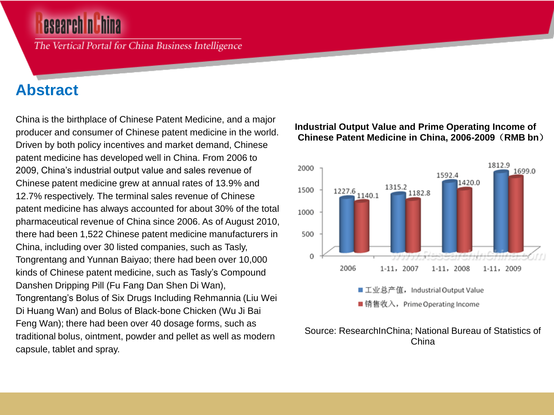The Vertical Portal for China Business Intelligence

# **Abstract**

China is the birthplace of Chinese Patent Medicine, and a major producer and consumer of Chinese patent medicine in the world. Driven by both policy incentives and market demand, Chinese patent medicine has developed well in China. From 2006 to 2009, China's industrial output value and sales revenue of Chinese patent medicine grew at annual rates of 13.9% and 12.7% respectively. The terminal sales revenue of Chinese patent medicine has always accounted for about 30% of the total pharmaceutical revenue of China since 2006. As of August 2010, there had been 1,522 Chinese patent medicine manufacturers in China, including over 30 listed companies, such as Tasly, Tongrentang and Yunnan Baiyao; there had been over 10,000 kinds of Chinese patent medicine, such as Tasly's Compound Danshen Dripping Pill (Fu Fang Dan Shen Di Wan), Tongrentang's Bolus of Six Drugs Including Rehmannia (Liu Wei Di Huang Wan) and Bolus of Black-bone Chicken (Wu Ji Bai Feng Wan); there had been over 40 dosage forms, such as traditional bolus, ointment, powder and pellet as well as modern capsule, tablet and spray.

#### **Industrial Output Value and Prime Operating Income of Chinese Patent Medicine in China, 2006-2009**(**RMB bn**)



#### Source: ResearchInChina; National Bureau of Statistics of China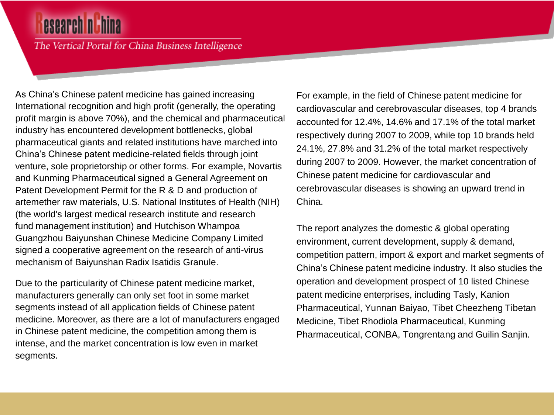# **esearch nuhi**

The Vertical Portal for China Business Intelligence

As China's Chinese patent medicine has gained increasing International recognition and high profit (generally, the operating profit margin is above 70%), and the chemical and pharmaceutical industry has encountered development bottlenecks, global pharmaceutical giants and related institutions have marched into China's Chinese patent medicine-related fields through joint venture, sole proprietorship or other forms. For example, Novartis and Kunming Pharmaceutical signed a General Agreement on Patent Development Permit for the R & D and production of artemether raw materials, U.S. National Institutes of Health (NIH) (the world's largest medical research institute and research fund management institution) and Hutchison Whampoa Guangzhou Baiyunshan Chinese Medicine Company Limited signed a cooperative agreement on the research of anti-virus mechanism of Baiyunshan Radix Isatidis Granule.

Due to the particularity of Chinese patent medicine market, manufacturers generally can only set foot in some market segments instead of all application fields of Chinese patent medicine. Moreover, as there are a lot of manufacturers engaged in Chinese patent medicine, the competition among them is intense, and the market concentration is low even in market segments.

For example, in the field of Chinese patent medicine for cardiovascular and cerebrovascular diseases, top 4 brands accounted for 12.4%, 14.6% and 17.1% of the total market respectively during 2007 to 2009, while top 10 brands held 24.1%, 27.8% and 31.2% of the total market respectively during 2007 to 2009. However, the market concentration of Chinese patent medicine for cardiovascular and cerebrovascular diseases is showing an upward trend in China.

The report analyzes the domestic & global operating environment, current development, supply & demand, competition pattern, import & export and market segments of China's Chinese patent medicine industry. It also studies the operation and development prospect of 10 listed Chinese patent medicine enterprises, including Tasly, Kanion Pharmaceutical, Yunnan Baiyao, Tibet Cheezheng Tibetan Medicine, Tibet Rhodiola Pharmaceutical, Kunming Pharmaceutical, CONBA, Tongrentang and Guilin Sanjin.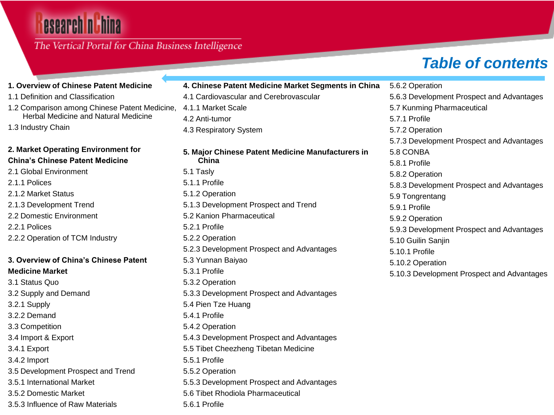# **esearch n China**

### The Vertical Portal for China Business Intelligence

# *Table of contents*

| 1. Overview of Chinese Patent Medicine        | 4. Chinese Patent Medicine Market Segments in China | 5.6.2 Operation                            |
|-----------------------------------------------|-----------------------------------------------------|--------------------------------------------|
| 1.1 Definition and Classification             | 4.1 Cardiovascular and Cerebrovascular              | 5.6.3 Development Prospect and Advantages  |
| 1.2 Comparison among Chinese Patent Medicine, | 4.1.1 Market Scale                                  | 5.7 Kunming Pharmaceutical                 |
| Herbal Medicine and Natural Medicine          | 4.2 Anti-tumor                                      | 5.7.1 Profile                              |
| 1.3 Industry Chain                            | 4.3 Respiratory System                              | 5.7.2 Operation                            |
|                                               |                                                     | 5.7.3 Development Prospect and Advantages  |
| 2. Market Operating Environment for           | 5. Major Chinese Patent Medicine Manufacturers in   | 5.8 CONBA                                  |
| <b>China's Chinese Patent Medicine</b>        | China                                               | 5.8.1 Profile                              |
| 2.1 Global Environment                        | 5.1 Tasly                                           | 5.8.2 Operation                            |
| 2.1.1 Polices                                 | 5.1.1 Profile                                       | 5.8.3 Development Prospect and Advantages  |
| 2.1.2 Market Status                           | 5.1.2 Operation                                     | 5.9 Tongrentang                            |
| 2.1.3 Development Trend                       | 5.1.3 Development Prospect and Trend                | 5.9.1 Profile                              |
| 2.2 Domestic Environment                      | 5.2 Kanion Pharmaceutical                           | 5.9.2 Operation                            |
| 2.2.1 Polices                                 | 5.2.1 Profile                                       | 5.9.3 Development Prospect and Advantages  |
| 2.2.2 Operation of TCM Industry               | 5.2.2 Operation                                     | 5.10 Guilin Sanjin                         |
|                                               | 5.2.3 Development Prospect and Advantages           | 5.10.1 Profile                             |
| 3. Overview of China's Chinese Patent         | 5.3 Yunnan Baiyao                                   | 5.10.2 Operation                           |
| <b>Medicine Market</b>                        | 5.3.1 Profile                                       | 5.10.3 Development Prospect and Advantages |
| 3.1 Status Quo                                | 5.3.2 Operation                                     |                                            |
| 3.2 Supply and Demand                         | 5.3.3 Development Prospect and Advantages           |                                            |
| 3.2.1 Supply                                  | 5.4 Pien Tze Huang                                  |                                            |
| 3.2.2 Demand                                  | 5.4.1 Profile                                       |                                            |
| 3.3 Competition                               | 5.4.2 Operation                                     |                                            |
| 3.4 Import & Export                           | 5.4.3 Development Prospect and Advantages           |                                            |
| 3.4.1 Export                                  | 5.5 Tibet Cheezheng Tibetan Medicine                |                                            |
| 3.4.2 Import                                  | 5.5.1 Profile                                       |                                            |
| 3.5 Development Prospect and Trend            | 5.5.2 Operation                                     |                                            |
| 3.5.1 International Market                    | 5.5.3 Development Prospect and Advantages           |                                            |
| 3.5.2 Domestic Market                         | 5.6 Tibet Rhodiola Pharmaceutical                   |                                            |
| 3.5.3 Influence of Raw Materials              | 5.6.1 Profile                                       |                                            |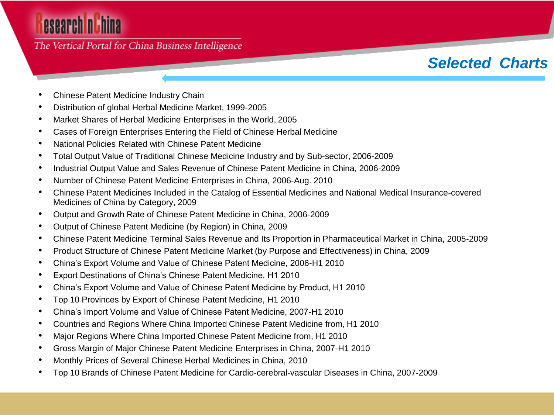# esearch nuhina

#### The Vertical Portal for China Business Intelligence

## *Selected Charts*

- Chinese Patent Medicine Industry Chain
- Distribution of global Herbal Medicine Market, 1999-2005
- Market Shares of Herbal Medicine Enterprises in the World, 2005
- Cases of Foreign Enterprises Entering the Field of Chinese Herbal Medicine
- National Policies Related with Chinese Patent Medicine
- Total Output Value of Traditional Chinese Medicine Industry and by Sub-sector, 2006-2009
- Industrial Output Value and Sales Revenue of Chinese Patent Medicine in China, 2006-2009
- Number of Chinese Patent Medicine Enterprises in China, 2006-Aug. 2010
- Chinese Patent Medicines Included in the Catalog of Essential Medicines and National Medical Insurance-covered Medicines of China by Category, 2009
- Output and Growth Rate of Chinese Patent Medicine in China, 2006-2009
- Output of Chinese Patent Medicine (by Region) in China, 2009
- Chinese Patent Medicine Terminal Sales Revenue and Its Proportion in Pharmaceutical Market in China, 2005-2009
- Product Structure of Chinese Patent Medicine Market (by Purpose and Effectiveness) in China, 2009
- China's Export Volume and Value of Chinese Patent Medicine, 2006-H1 2010
- Export Destinations of China's Chinese Patent Medicine, H1 2010
- China's Export Volume and Value of Chinese Patent Medicine by Product, H1 2010
- Top 10 Provinces by Export of Chinese Patent Medicine, H1 2010
- China's Import Volume and Value of Chinese Patent Medicine, 2007-H1 2010
- Countries and Regions Where China Imported Chinese Patent Medicine from, H1 2010
- Major Regions Where China Imported Chinese Patent Medicine from, H1 2010
- Gross Margin of Major Chinese Patent Medicine Enterprises in China, 2007-H1 2010
- Monthly Prices of Several Chinese Herbal Medicines in China, 2010
- Top 10 Brands of Chinese Patent Medicine for Cardio-cerebral-vascular Diseases in China, 2007-2009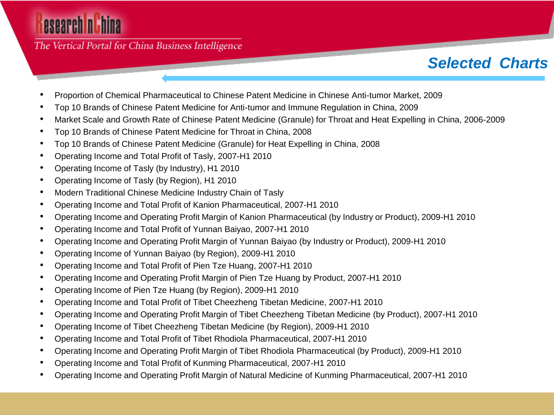# esearch nuhina

The Vertical Portal for China Business Intelligence

# *Selected Charts*

- Proportion of Chemical Pharmaceutical to Chinese Patent Medicine in Chinese Anti-tumor Market, 2009
- Top 10 Brands of Chinese Patent Medicine for Anti-tumor and Immune Regulation in China, 2009
- Market Scale and Growth Rate of Chinese Patent Medicine (Granule) for Throat and Heat Expelling in China, 2006-2009
- Top 10 Brands of Chinese Patent Medicine for Throat in China, 2008
- Top 10 Brands of Chinese Patent Medicine (Granule) for Heat Expelling in China, 2008
- Operating Income and Total Profit of Tasly, 2007-H1 2010
- Operating Income of Tasly (by Industry), H1 2010
- Operating Income of Tasly (by Region), H1 2010
- Modern Traditional Chinese Medicine Industry Chain of Tasly
- Operating Income and Total Profit of Kanion Pharmaceutical, 2007-H1 2010
- Operating Income and Operating Profit Margin of Kanion Pharmaceutical (by Industry or Product), 2009-H1 2010
- Operating Income and Total Profit of Yunnan Baiyao, 2007-H1 2010
- Operating Income and Operating Profit Margin of Yunnan Baiyao (by Industry or Product), 2009-H1 2010
- Operating Income of Yunnan Baiyao (by Region), 2009-H1 2010
- Operating Income and Total Profit of Pien Tze Huang, 2007-H1 2010
- Operating Income and Operating Profit Margin of Pien Tze Huang by Product, 2007-H1 2010
- Operating Income of Pien Tze Huang (by Region), 2009-H1 2010
- Operating Income and Total Profit of Tibet Cheezheng Tibetan Medicine, 2007-H1 2010
- Operating Income and Operating Profit Margin of Tibet Cheezheng Tibetan Medicine (by Product), 2007-H1 2010
- Operating Income of Tibet Cheezheng Tibetan Medicine (by Region), 2009-H1 2010
- Operating Income and Total Profit of Tibet Rhodiola Pharmaceutical, 2007-H1 2010
- Operating Income and Operating Profit Margin of Tibet Rhodiola Pharmaceutical (by Product), 2009-H1 2010
- Operating Income and Total Profit of Kunming Pharmaceutical, 2007-H1 2010
- Operating Income and Operating Profit Margin of Natural Medicine of Kunming Pharmaceutical, 2007-H1 2010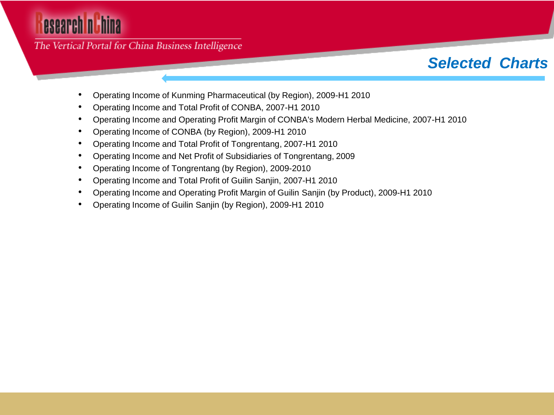# esearch nuhina

The Vertical Portal for China Business Intelligence

## *Selected Charts*

- Operating Income of Kunming Pharmaceutical (by Region), 2009-H1 2010
- Operating Income and Total Profit of CONBA, 2007-H1 2010
- Operating Income and Operating Profit Margin of CONBA's Modern Herbal Medicine, 2007-H1 2010
- Operating Income of CONBA (by Region), 2009-H1 2010
- Operating Income and Total Profit of Tongrentang, 2007-H1 2010
- Operating Income and Net Profit of Subsidiaries of Tongrentang, 2009
- Operating Income of Tongrentang (by Region), 2009-2010
- Operating Income and Total Profit of Guilin Sanjin, 2007-H1 2010
- Operating Income and Operating Profit Margin of Guilin Sanjin (by Product), 2009-H1 2010
- Operating Income of Guilin Sanjin (by Region), 2009-H1 2010